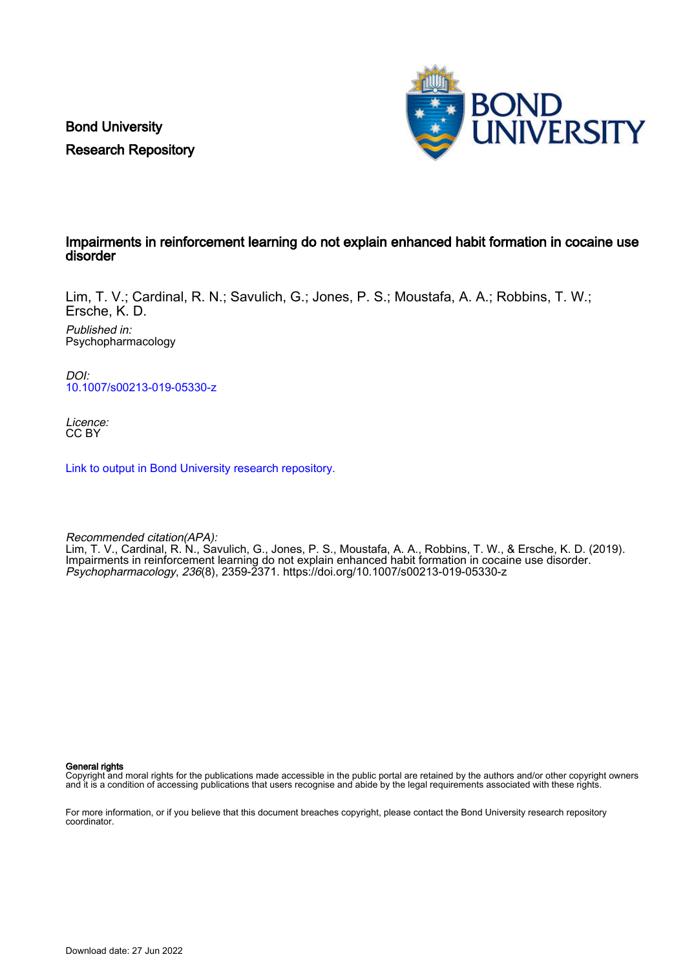Bond University Research Repository



## Impairments in reinforcement learning do not explain enhanced habit formation in cocaine use disorder

Lim, T. V.; Cardinal, R. N.; Savulich, G.; Jones, P. S.; Moustafa, A. A.; Robbins, T. W.; Ersche, K. D.

Published in: Psychopharmacology

DOI: [10.1007/s00213-019-05330-z](https://doi.org/10.1007/s00213-019-05330-z)

Licence: CC BY

[Link to output in Bond University research repository.](https://research.bond.edu.au/en/publications/82e2a892-d15f-4d56-bebf-7785deb14b5c)

Recommended citation(APA): Lim, T. V., Cardinal, R. N., Savulich, G., Jones, P. S., Moustafa, A. A., Robbins, T. W., & Ersche, K. D. (2019). Impairments in reinforcement learning do not explain enhanced habit formation in cocaine use disorder. Psychopharmacology, 236(8), 2359-2371. <https://doi.org/10.1007/s00213-019-05330-z>

General rights

Copyright and moral rights for the publications made accessible in the public portal are retained by the authors and/or other copyright owners and it is a condition of accessing publications that users recognise and abide by the legal requirements associated with these rights.

For more information, or if you believe that this document breaches copyright, please contact the Bond University research repository coordinator.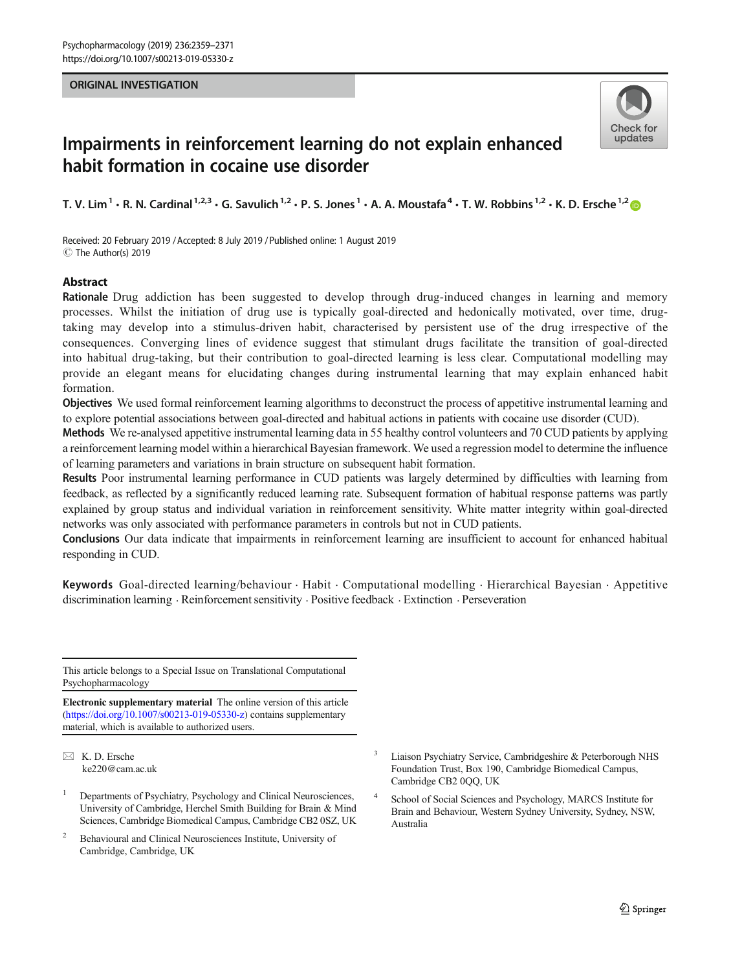## ORIGINAL INVESTIGATION



# Impairments in reinforcement learning do not explain enhanced habit formation in cocaine use disorder

T. V. Lim<sup>1</sup>  $\cdot$  R. N. Cardinal<sup>1,2,3</sup>  $\cdot$  G. Savulich<sup>1,2</sup>  $\cdot$  P. S. Jones<sup>1</sup>  $\cdot$  A. A. Moustafa<sup>4</sup>  $\cdot$  T. W. Robbins<sup>1,2</sup>  $\cdot$  K. D. Ersche<sup>1,2</sup>  $\circ$ 

Received: 20 February 2019 /Accepted: 8 July 2019 /Published online: 1 August 2019 C The Author(s) 2019

## Abstract

Rationale Drug addiction has been suggested to develop through drug-induced changes in learning and memory processes. Whilst the initiation of drug use is typically goal-directed and hedonically motivated, over time, drugtaking may develop into a stimulus-driven habit, characterised by persistent use of the drug irrespective of the consequences. Converging lines of evidence suggest that stimulant drugs facilitate the transition of goal-directed into habitual drug-taking, but their contribution to goal-directed learning is less clear. Computational modelling may provide an elegant means for elucidating changes during instrumental learning that may explain enhanced habit formation.

Objectives We used formal reinforcement learning algorithms to deconstruct the process of appetitive instrumental learning and to explore potential associations between goal-directed and habitual actions in patients with cocaine use disorder (CUD).

Methods We re-analysed appetitive instrumental learning data in 55 healthy control volunteers and 70 CUD patients by applying a reinforcement learning model within a hierarchical Bayesian framework. We used a regression model to determine the influence of learning parameters and variations in brain structure on subsequent habit formation.

Results Poor instrumental learning performance in CUD patients was largely determined by difficulties with learning from feedback, as reflected by a significantly reduced learning rate. Subsequent formation of habitual response patterns was partly explained by group status and individual variation in reinforcement sensitivity. White matter integrity within goal-directed networks was only associated with performance parameters in controls but not in CUD patients.

Conclusions Our data indicate that impairments in reinforcement learning are insufficient to account for enhanced habitual responding in CUD.

Keywords Goal-directed learning/behaviour . Habit . Computational modelling . Hierarchical Bayesian . Appetitive discrimination learning . Reinforcement sensitivity . Positive feedback . Extinction . Perseveration

This article belongs to a Special Issue on Translational Computational Psychopharmacology

Electronic supplementary material The online version of this article (<https://doi.org/10.1007/s00213-019-05330-z>) contains supplementary material, which is available to authorized users.

 $\boxtimes$  K. D. Ersche [ke220@cam.ac.uk](mailto:ke220@cam.ac.uk)

- <sup>1</sup> Departments of Psychiatry, Psychology and Clinical Neurosciences, University of Cambridge, Herchel Smith Building for Brain & Mind Sciences, Cambridge Biomedical Campus, Cambridge CB2 0SZ, UK
- <sup>2</sup> Behavioural and Clinical Neurosciences Institute, University of Cambridge, Cambridge, UK
- <sup>3</sup> Liaison Psychiatry Service, Cambridgeshire & Peterborough NHS Foundation Trust, Box 190, Cambridge Biomedical Campus, Cambridge CB2 0QQ, UK
- <sup>4</sup> School of Social Sciences and Psychology, MARCS Institute for Brain and Behaviour, Western Sydney University, Sydney, NSW, Australia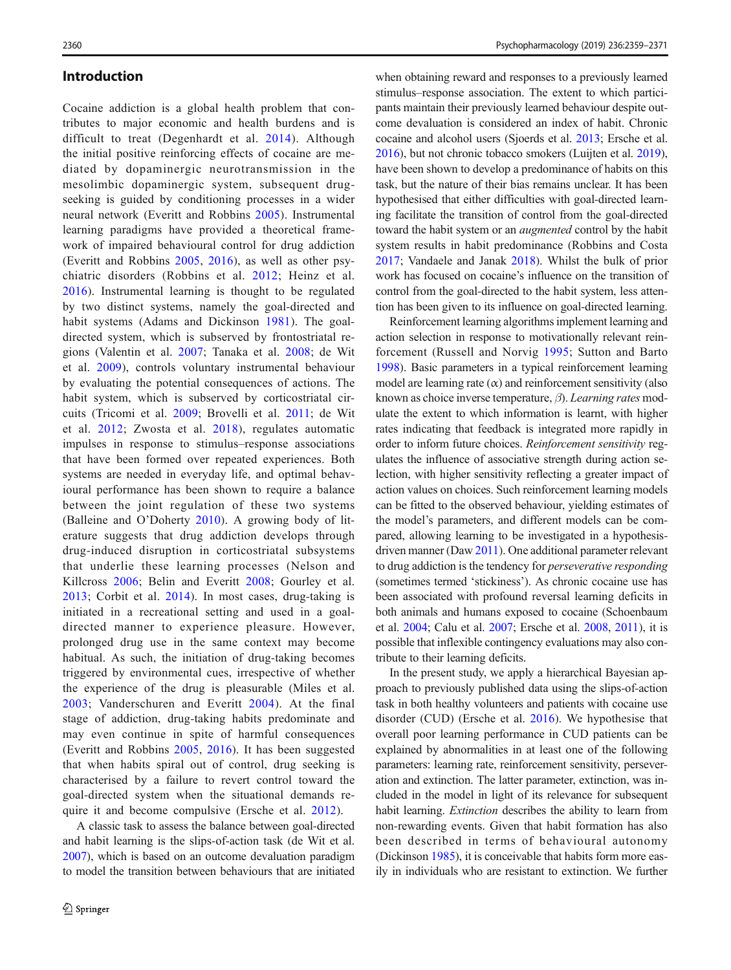## Introduction

Cocaine addiction is a global health problem that contributes to major economic and health burdens and is difficult to treat (Degenhardt et al. [2014\)](#page-12-0). Although the initial positive reinforcing effects of cocaine are mediated by dopaminergic neurotransmission in the mesolimbic dopaminergic system, subsequent drugseeking is guided by conditioning processes in a wider neural network (Everitt and Robbins [2005](#page-12-0)). Instrumental learning paradigms have provided a theoretical framework of impaired behavioural control for drug addiction (Everitt and Robbins [2005](#page-12-0), [2016](#page-12-0)), as well as other psychiatric disorders (Robbins et al. [2012;](#page-12-0) Heinz et al. [2016](#page-12-0)). Instrumental learning is thought to be regulated by two distinct systems, namely the goal-directed and habit systems (Adams and Dickinson [1981\)](#page-11-0). The goaldirected system, which is subserved by frontostriatal regions (Valentin et al. [2007;](#page-13-0) Tanaka et al. [2008](#page-13-0); de Wit et al. [2009](#page-11-0)), controls voluntary instrumental behaviour by evaluating the potential consequences of actions. The habit system, which is subserved by corticostriatal circuits (Tricomi et al. [2009](#page-13-0); Brovelli et al. [2011;](#page-11-0) de Wit et al. [2012](#page-12-0); Zwosta et al. [2018](#page-13-0)), regulates automatic impulses in response to stimulus–response associations that have been formed over repeated experiences. Both systems are needed in everyday life, and optimal behavioural performance has been shown to require a balance between the joint regulation of these two systems (Balleine and O'Doherty [2010\)](#page-11-0). A growing body of literature suggests that drug addiction develops through drug-induced disruption in corticostriatal subsystems that underlie these learning processes (Nelson and Killcross [2006](#page-12-0); Belin and Everitt [2008;](#page-11-0) Gourley et al. [2013](#page-12-0); Corbit et al. [2014](#page-11-0)). In most cases, drug-taking is initiated in a recreational setting and used in a goaldirected manner to experience pleasure. However, prolonged drug use in the same context may become habitual. As such, the initiation of drug-taking becomes triggered by environmental cues, irrespective of whether the experience of the drug is pleasurable (Miles et al. [2003;](#page-12-0) Vanderschuren and Everitt [2004\)](#page-13-0). At the final stage of addiction, drug-taking habits predominate and may even continue in spite of harmful consequences (Everitt and Robbins [2005](#page-12-0), [2016](#page-12-0)). It has been suggested that when habits spiral out of control, drug seeking is characterised by a failure to revert control toward the goal-directed system when the situational demands require it and become compulsive (Ersche et al. [2012](#page-12-0)).

A classic task to assess the balance between goal-directed and habit learning is the slips-of-action task (de Wit et al. [2007\)](#page-12-0), which is based on an outcome devaluation paradigm to model the transition between behaviours that are initiated

when obtaining reward and responses to a previously learned stimulus–response association. The extent to which participants maintain their previously learned behaviour despite outcome devaluation is considered an index of habit. Chronic cocaine and alcohol users (Sjoerds et al. [2013](#page-13-0); Ersche et al. [2016\)](#page-12-0), but not chronic tobacco smokers (Luijten et al. [2019\)](#page-12-0), have been shown to develop a predominance of habits on this task, but the nature of their bias remains unclear. It has been hypothesised that either difficulties with goal-directed learning facilitate the transition of control from the goal-directed toward the habit system or an augmented control by the habit system results in habit predominance (Robbins and Costa [2017](#page-12-0); Vandaele and Janak [2018\)](#page-13-0). Whilst the bulk of prior work has focused on cocaine's influence on the transition of control from the goal-directed to the habit system, less attention has been given to its influence on goal-directed learning.

Reinforcement learning algorithms implement learning and action selection in response to motivationally relevant reinforcement (Russell and Norvig [1995;](#page-12-0) Sutton and Barto [1998\)](#page-13-0). Basic parameters in a typical reinforcement learning model are learning rate  $(\alpha)$  and reinforcement sensitivity (also known as choice inverse temperature,  $\beta$ ). Learning rates modulate the extent to which information is learnt, with higher rates indicating that feedback is integrated more rapidly in order to inform future choices. Reinforcement sensitivity regulates the influence of associative strength during action selection, with higher sensitivity reflecting a greater impact of action values on choices. Such reinforcement learning models can be fitted to the observed behaviour, yielding estimates of the model's parameters, and different models can be compared, allowing learning to be investigated in a hypothesisdriven manner (Daw [2011\)](#page-11-0). One additional parameter relevant to drug addiction is the tendency for perseverative responding (sometimes termed 'stickiness'). As chronic cocaine use has been associated with profound reversal learning deficits in both animals and humans exposed to cocaine (Schoenbaum et al. [2004](#page-12-0); Calu et al. [2007](#page-11-0); Ersche et al. [2008,](#page-12-0) [2011\)](#page-12-0), it is possible that inflexible contingency evaluations may also contribute to their learning deficits.

In the present study, we apply a hierarchical Bayesian approach to previously published data using the slips-of-action task in both healthy volunteers and patients with cocaine use disorder (CUD) (Ersche et al. [2016](#page-12-0)). We hypothesise that overall poor learning performance in CUD patients can be explained by abnormalities in at least one of the following parameters: learning rate, reinforcement sensitivity, perseveration and extinction. The latter parameter, extinction, was included in the model in light of its relevance for subsequent habit learning. *Extinction* describes the ability to learn from non-rewarding events. Given that habit formation has also been described in terms of behavioural autonomy (Dickinson [1985\)](#page-12-0), it is conceivable that habits form more easily in individuals who are resistant to extinction. We further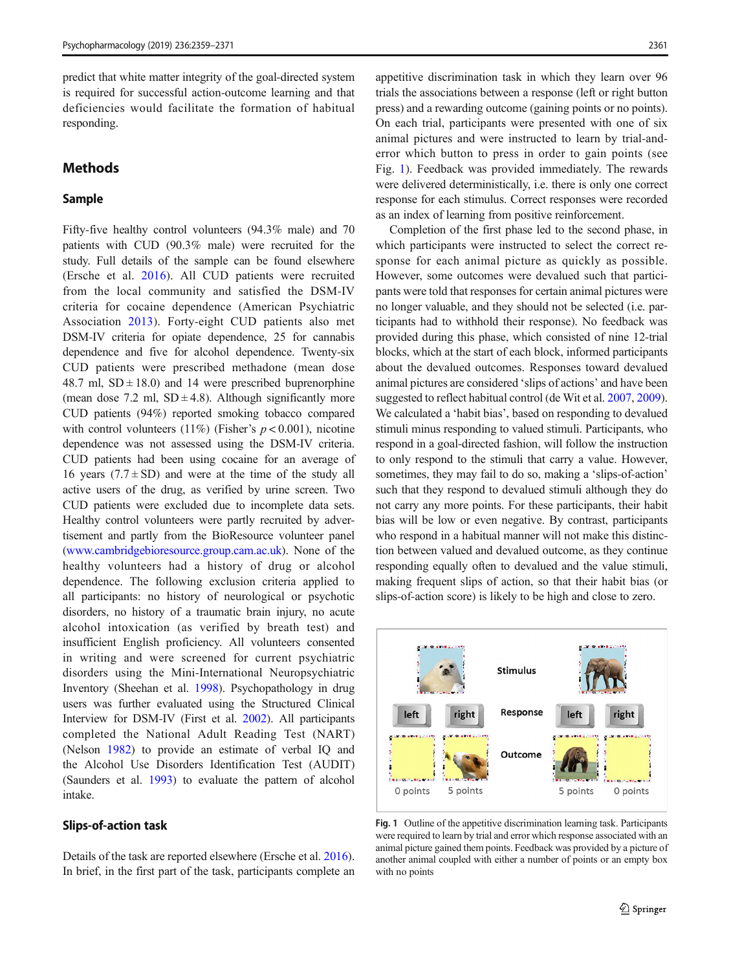predict that white matter integrity of the goal-directed system is required for successful action-outcome learning and that deficiencies would facilitate the formation of habitual responding.

## **Methods**

#### Sample

Fifty-five healthy control volunteers (94.3% male) and 70 patients with CUD (90.3% male) were recruited for the study. Full details of the sample can be found elsewhere (Ersche et al. [2016](#page-12-0)). All CUD patients were recruited from the local community and satisfied the DSM-IV criteria for cocaine dependence (American Psychiatric Association [2013](#page-11-0)). Forty-eight CUD patients also met DSM-IV criteria for opiate dependence, 25 for cannabis dependence and five for alcohol dependence. Twenty-six CUD patients were prescribed methadone (mean dose 48.7 ml,  $SD \pm 18.0$ ) and 14 were prescribed buprenorphine (mean dose 7.2 ml,  $SD \pm 4.8$ ). Although significantly more CUD patients (94%) reported smoking tobacco compared with control volunteers (11%) (Fisher's  $p < 0.001$ ), nicotine dependence was not assessed using the DSM-IV criteria. CUD patients had been using cocaine for an average of 16 years  $(7.7 \pm SD)$  and were at the time of the study all active users of the drug, as verified by urine screen. Two CUD patients were excluded due to incomplete data sets. Healthy control volunteers were partly recruited by advertisement and partly from the BioResource volunteer panel [\(www.cambridgebioresource.group.cam.ac.uk\)](http://www.cambridgebioresource.group.cam.ac.uk). None of the healthy volunteers had a history of drug or alcohol dependence. The following exclusion criteria applied to all participants: no history of neurological or psychotic disorders, no history of a traumatic brain injury, no acute alcohol intoxication (as verified by breath test) and insufficient English proficiency. All volunteers consented in writing and were screened for current psychiatric disorders using the Mini-International Neuropsychiatric Inventory (Sheehan et al. [1998](#page-12-0)). Psychopathology in drug users was further evaluated using the Structured Clinical Interview for DSM-IV (First et al. [2002](#page-12-0)). All participants completed the National Adult Reading Test (NART) (Nelson [1982\)](#page-12-0) to provide an estimate of verbal IQ and the Alcohol Use Disorders Identification Test (AUDIT) (Saunders et al. [1993\)](#page-12-0) to evaluate the pattern of alcohol intake.

## Slips-of-action task

Details of the task are reported elsewhere (Ersche et al. [2016\)](#page-12-0). In brief, in the first part of the task, participants complete an appetitive discrimination task in which they learn over 96 trials the associations between a response (left or right button press) and a rewarding outcome (gaining points or no points). On each trial, participants were presented with one of six animal pictures and were instructed to learn by trial-anderror which button to press in order to gain points (see Fig. 1). Feedback was provided immediately. The rewards were delivered deterministically, i.e. there is only one correct response for each stimulus. Correct responses were recorded as an index of learning from positive reinforcement.

Completion of the first phase led to the second phase, in which participants were instructed to select the correct response for each animal picture as quickly as possible. However, some outcomes were devalued such that participants were told that responses for certain animal pictures were no longer valuable, and they should not be selected (i.e. participants had to withhold their response). No feedback was provided during this phase, which consisted of nine 12-trial blocks, which at the start of each block, informed participants about the devalued outcomes. Responses toward devalued animal pictures are considered 'slips of actions' and have been suggested to reflect habitual control (de Wit et al. [2007,](#page-12-0) [2009\)](#page-11-0). We calculated a 'habit bias', based on responding to devalued stimuli minus responding to valued stimuli. Participants, who respond in a goal-directed fashion, will follow the instruction to only respond to the stimuli that carry a value. However, sometimes, they may fail to do so, making a 'slips-of-action' such that they respond to devalued stimuli although they do not carry any more points. For these participants, their habit bias will be low or even negative. By contrast, participants who respond in a habitual manner will not make this distinction between valued and devalued outcome, as they continue responding equally often to devalued and the value stimuli, making frequent slips of action, so that their habit bias (or slips-of-action score) is likely to be high and close to zero.



Fig. 1 Outline of the appetitive discrimination learning task. Participants were required to learn by trial and error which response associated with an animal picture gained them points. Feedback was provided by a picture of another animal coupled with either a number of points or an empty box with no points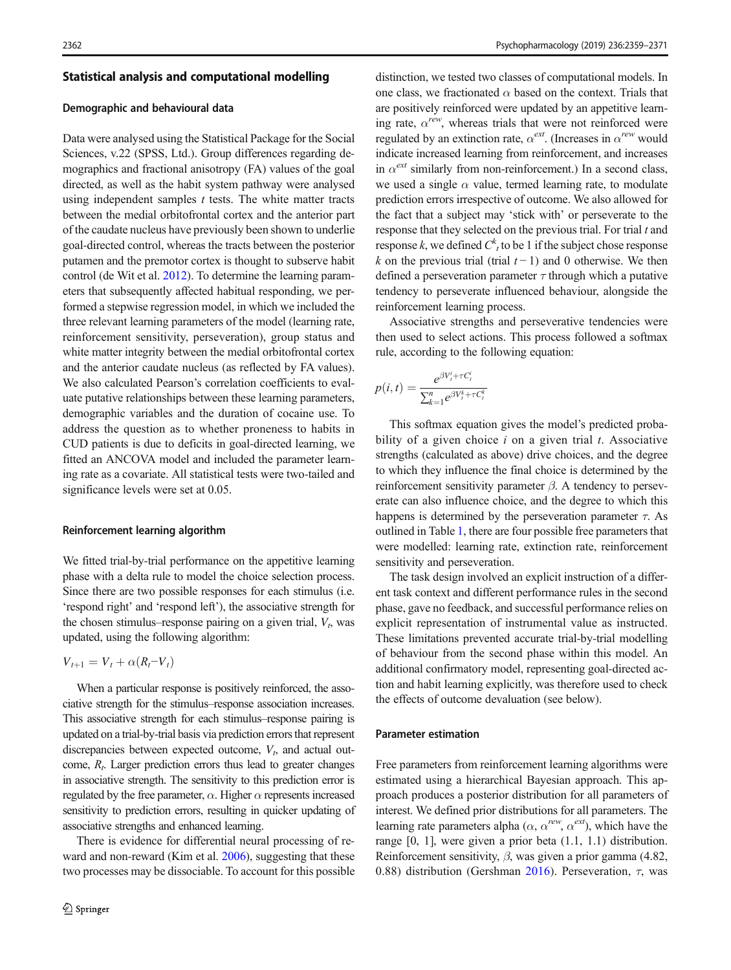#### Statistical analysis and computational modelling

#### Demographic and behavioural data

Data were analysed using the Statistical Package for the Social Sciences, v.22 (SPSS, Ltd.). Group differences regarding demographics and fractional anisotropy (FA) values of the goal directed, as well as the habit system pathway were analysed using independent samples  $t$  tests. The white matter tracts between the medial orbitofrontal cortex and the anterior part of the caudate nucleus have previously been shown to underlie goal-directed control, whereas the tracts between the posterior putamen and the premotor cortex is thought to subserve habit control (de Wit et al. [2012](#page-12-0)). To determine the learning parameters that subsequently affected habitual responding, we performed a stepwise regression model, in which we included the three relevant learning parameters of the model (learning rate, reinforcement sensitivity, perseveration), group status and white matter integrity between the medial orbitofrontal cortex and the anterior caudate nucleus (as reflected by FA values). We also calculated Pearson's correlation coefficients to evaluate putative relationships between these learning parameters, demographic variables and the duration of cocaine use. To address the question as to whether proneness to habits in CUD patients is due to deficits in goal-directed learning, we fitted an ANCOVA model and included the parameter learning rate as a covariate. All statistical tests were two-tailed and significance levels were set at 0.05.

#### Reinforcement learning algorithm

We fitted trial-by-trial performance on the appetitive learning phase with a delta rule to model the choice selection process. Since there are two possible responses for each stimulus (i.e. 'respond right' and 'respond left'), the associative strength for the chosen stimulus–response pairing on a given trial,  $V_t$ , was updated, using the following algorithm:

$$
V_{t+1} = V_t + \alpha (R_t - V_t)
$$

When a particular response is positively reinforced, the associative strength for the stimulus–response association increases. This associative strength for each stimulus–response pairing is updated on a trial-by-trial basis via prediction errors that represent discrepancies between expected outcome,  $V_t$ , and actual outcome,  $R_t$ . Larger prediction errors thus lead to greater changes in associative strength. The sensitivity to this prediction error is regulated by the free parameter,  $\alpha$ . Higher  $\alpha$  represents increased sensitivity to prediction errors, resulting in quicker updating of associative strengths and enhanced learning.

There is evidence for differential neural processing of reward and non-reward (Kim et al. [2006](#page-12-0)), suggesting that these two processes may be dissociable. To account for this possible

distinction, we tested two classes of computational models. In one class, we fractionated  $\alpha$  based on the context. Trials that are positively reinforced were updated by an appetitive learning rate,  $\alpha^{rew}$ , whereas trials that were not reinforced were regulated by an extinction rate,  $\alpha^{ext}$ . (Increases in  $\alpha^{rew}$  would indicate increased learning from reinforcement, and increases in  $\alpha^{ext}$  similarly from non-reinforcement.) In a second class, we used a single  $\alpha$  value, termed learning rate, to modulate prediction errors irrespective of outcome. We also allowed for the fact that a subject may 'stick with' or perseverate to the response that they selected on the previous trial. For trial  $t$  and response k, we defined  $C_{t}^{k}$  to be 1 if the subject chose response k on the previous trial (trial  $t-1$ ) and 0 otherwise. We then defined a perseveration parameter  $\tau$  through which a putative tendency to perseverate influenced behaviour, alongside the reinforcement learning process.

Associative strengths and perseverative tendencies were then used to select actions. This process followed a softmax rule, according to the following equation:

$$
p(i,t) = \frac{e^{\beta V_t^i + \tau C_t^i}}{\sum_{k=1}^n e^{\beta V_t^k + \tau C_t^k}}
$$

This softmax equation gives the model's predicted probability of a given choice  $i$  on a given trial  $t$ . Associative strengths (calculated as above) drive choices, and the degree to which they influence the final choice is determined by the reinforcement sensitivity parameter  $β$ . A tendency to perseverate can also influence choice, and the degree to which this happens is determined by the perseveration parameter  $\tau$ . As outlined in Table [1,](#page-5-0) there are four possible free parameters that were modelled: learning rate, extinction rate, reinforcement sensitivity and perseveration.

The task design involved an explicit instruction of a different task context and different performance rules in the second phase, gave no feedback, and successful performance relies on explicit representation of instrumental value as instructed. These limitations prevented accurate trial-by-trial modelling of behaviour from the second phase within this model. An additional confirmatory model, representing goal-directed action and habit learning explicitly, was therefore used to check the effects of outcome devaluation (see below).

#### Parameter estimation

Free parameters from reinforcement learning algorithms were estimated using a hierarchical Bayesian approach. This approach produces a posterior distribution for all parameters of interest. We defined prior distributions for all parameters. The learning rate parameters alpha ( $\alpha$ ,  $\alpha^{rev}$ ,  $\alpha^{ext}$ ), which have the range [0, 1], were given a prior beta (1.1, 1.1) distribution. Reinforcement sensitivity,  $\beta$ , was given a prior gamma (4.82, 0.88) distribution (Gershman [2016](#page-12-0)). Perseveration,  $\tau$ , was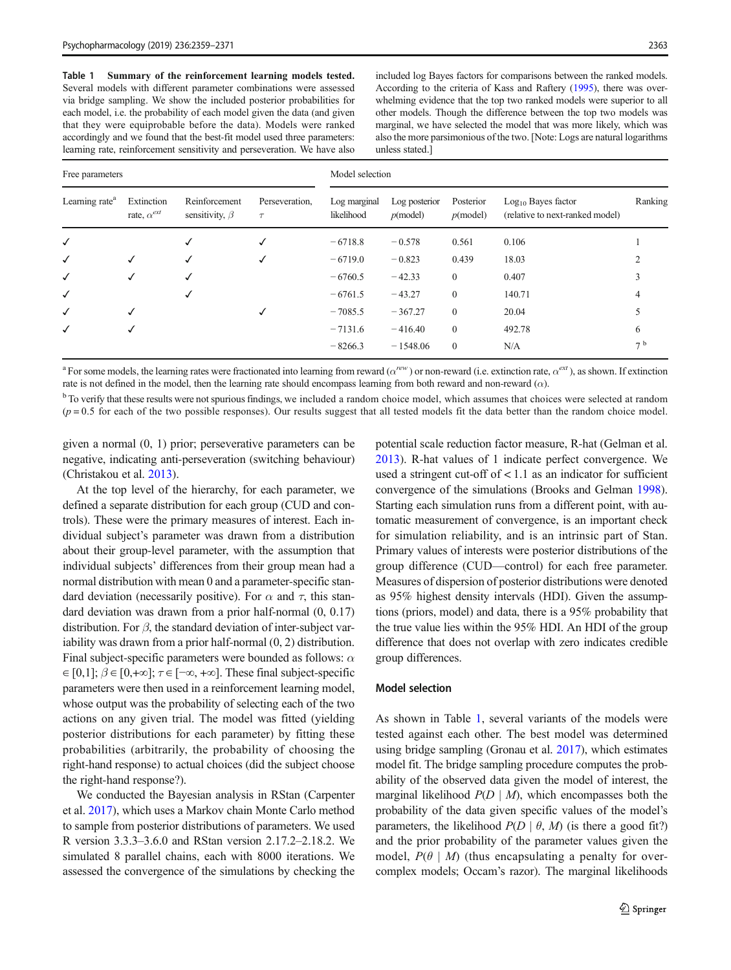<span id="page-5-0"></span>Table 1 Summary of the reinforcement learning models tested. Several models with different parameter combinations were assessed via bridge sampling. We show the included posterior probabilities for each model, i.e. the probability of each model given the data (and given that they were equiprobable before the data). Models were ranked accordingly and we found that the best-fit model used three parameters: learning rate, reinforcement sensitivity and perseveration. We have also

included log Bayes factors for comparisons between the ranked models. According to the criteria of Kass and Raftery [\(1995\)](#page-12-0), there was overwhelming evidence that the top two ranked models were superior to all other models. Though the difference between the top two models was marginal, we have selected the model that was more likely, which was also the more parsimonious of the two. [Note: Logs are natural logarithms unless stated.]

| Free parameters            |                                    |                                       |                          | Model selection            |                              |                          |                                                         |                |
|----------------------------|------------------------------------|---------------------------------------|--------------------------|----------------------------|------------------------------|--------------------------|---------------------------------------------------------|----------------|
| Learning rate <sup>a</sup> | Extinction<br>rate, $\alpha^{ext}$ | Reinforcement<br>sensitivity, $\beta$ | Perseveration,<br>$\tau$ | Log marginal<br>likelihood | Log posterior<br>$p$ (model) | Posterior<br>$p$ (model) | $Log10$ Bayes factor<br>(relative to next-ranked model) | Ranking        |
| $\checkmark$               |                                    |                                       | ✓                        | $-6718.8$                  | $-0.578$                     | 0.561                    | 0.106                                                   |                |
| $\checkmark$               | √                                  | ✓                                     | ✓                        | $-6719.0$                  | $-0.823$                     | 0.439                    | 18.03                                                   |                |
| $\checkmark$               | ✓                                  |                                       |                          | $-6760.5$                  | $-42.33$                     | $\mathbf{0}$             | 0.407                                                   |                |
| $\checkmark$               |                                    |                                       |                          | $-6761.5$                  | $-43.27$                     | $\mathbf{0}$             | 140.71                                                  |                |
| $\checkmark$               | √                                  |                                       | ✓                        | $-7085.5$                  | $-367.27$                    | $\mathbf{0}$             | 20.04                                                   |                |
| ✓                          | ✓                                  |                                       |                          | $-7131.6$                  | $-416.40$                    | $\mathbf{0}$             | 492.78                                                  | 6              |
|                            |                                    |                                       |                          | $-8266.3$                  | $-1548.06$                   | $\mathbf{0}$             | N/A                                                     | 7 <sup>b</sup> |

<sup>a</sup> For some models, the learning rates were fractionated into learning from reward ( $\alpha^{rev}$ ) or non-reward (i.e. extinction rate,  $\alpha^{ext}$ ), as shown. If extinction rate is not defined in the model, then the learning rate should encompass learning from both reward and non-reward  $(\alpha)$ .

<sup>b</sup> To verify that these results were not spurious findings, we included a random choice model, which assumes that choices were selected at random  $(p = 0.5$  for each of the two possible responses). Our results suggest that all tested models fit the data better than the random choice model.

given a normal (0, 1) prior; perseverative parameters can be negative, indicating anti-perseveration (switching behaviour) (Christakou et al. [2013](#page-11-0)).

At the top level of the hierarchy, for each parameter, we defined a separate distribution for each group (CUD and controls). These were the primary measures of interest. Each individual subject's parameter was drawn from a distribution about their group-level parameter, with the assumption that individual subjects' differences from their group mean had a normal distribution with mean 0 and a parameter-specific standard deviation (necessarily positive). For  $\alpha$  and  $\tau$ , this standard deviation was drawn from a prior half-normal (0, 0.17) distribution. For  $\beta$ , the standard deviation of inter-subject variability was drawn from a prior half-normal (0, 2) distribution. Final subject-specific parameters were bounded as follows:  $\alpha$  $\in [0,1]; \beta \in [0,+\infty]; \tau \in [-\infty, +\infty]$ . These final subject-specific parameters were then used in a reinforcement learning model, whose output was the probability of selecting each of the two actions on any given trial. The model was fitted (yielding posterior distributions for each parameter) by fitting these probabilities (arbitrarily, the probability of choosing the right-hand response) to actual choices (did the subject choose the right-hand response?).

We conducted the Bayesian analysis in RStan (Carpenter et al. [2017\)](#page-11-0), which uses a Markov chain Monte Carlo method to sample from posterior distributions of parameters. We used R version 3.3.3–3.6.0 and RStan version 2.17.2–2.18.2. We simulated 8 parallel chains, each with 8000 iterations. We assessed the convergence of the simulations by checking the potential scale reduction factor measure, R-hat (Gelman et al. [2013\)](#page-12-0). R-hat values of 1 indicate perfect convergence. We used a stringent cut-off of  $< 1.1$  as an indicator for sufficient convergence of the simulations (Brooks and Gelman [1998\)](#page-11-0). Starting each simulation runs from a different point, with automatic measurement of convergence, is an important check for simulation reliability, and is an intrinsic part of Stan. Primary values of interests were posterior distributions of the group difference (CUD—control) for each free parameter. Measures of dispersion of posterior distributions were denoted as 95% highest density intervals (HDI). Given the assumptions (priors, model) and data, there is a 95% probability that the true value lies within the 95% HDI. An HDI of the group difference that does not overlap with zero indicates credible group differences.

#### Model selection

As shown in Table 1, several variants of the models were tested against each other. The best model was determined using bridge sampling (Gronau et al. [2017](#page-12-0)), which estimates model fit. The bridge sampling procedure computes the probability of the observed data given the model of interest, the marginal likelihood  $P(D \mid M)$ , which encompasses both the probability of the data given specific values of the model's parameters, the likelihood  $P(D | \theta, M)$  (is there a good fit?) and the prior probability of the parameter values given the model,  $P(\theta | M)$  (thus encapsulating a penalty for overcomplex models; Occam's razor). The marginal likelihoods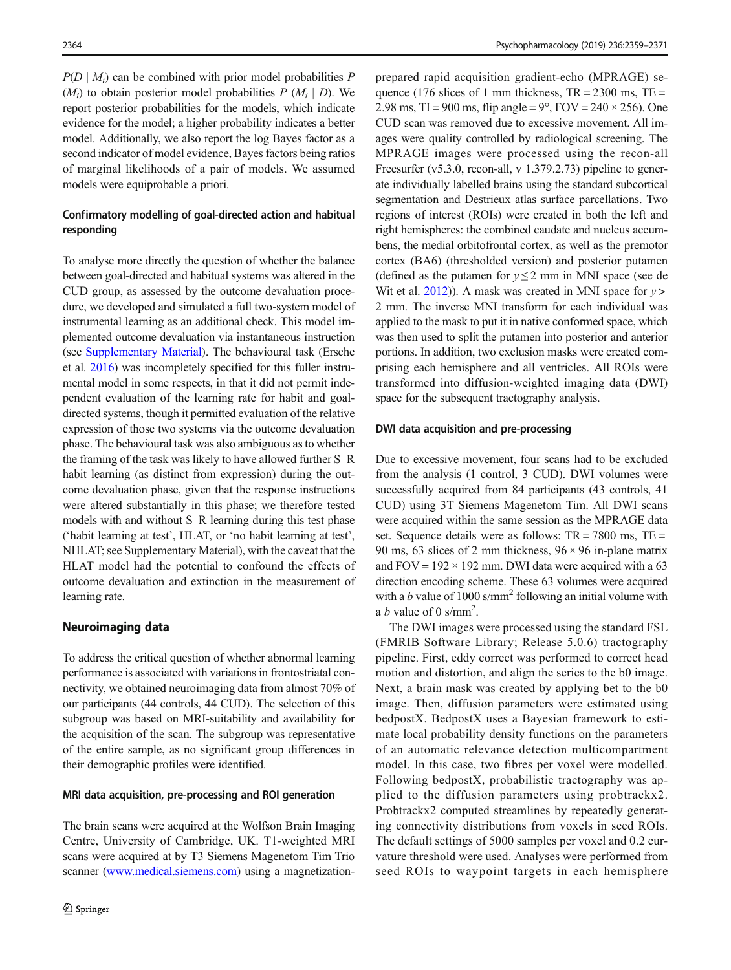$P(D \mid M_i)$  can be combined with prior model probabilities P  $(M<sub>i</sub>)$  to obtain posterior model probabilities P  $(M<sub>i</sub> | D)$ . We report posterior probabilities for the models, which indicate evidence for the model; a higher probability indicates a better model. Additionally, we also report the log Bayes factor as a second indicator of model evidence, Bayes factors being ratios of marginal likelihoods of a pair of models. We assumed models were equiprobable a priori.

## Confirmatory modelling of goal-directed action and habitual responding

To analyse more directly the question of whether the balance between goal-directed and habitual systems was altered in the CUD group, as assessed by the outcome devaluation procedure, we developed and simulated a full two-system model of instrumental learning as an additional check. This model implemented outcome devaluation via instantaneous instruction (see Supplementary Material). The behavioural task (Ersche et al. [2016](#page-12-0)) was incompletely specified for this fuller instrumental model in some respects, in that it did not permit independent evaluation of the learning rate for habit and goaldirected systems, though it permitted evaluation of the relative expression of those two systems via the outcome devaluation phase. The behavioural task was also ambiguous as to whether the framing of the task was likely to have allowed further S–R habit learning (as distinct from expression) during the outcome devaluation phase, given that the response instructions were altered substantially in this phase; we therefore tested models with and without S–R learning during this test phase ('habit learning at test', HLAT, or 'no habit learning at test', NHLAT; see Supplementary Material), with the caveat that the HLAT model had the potential to confound the effects of outcome devaluation and extinction in the measurement of learning rate.

## Neuroimaging data

To address the critical question of whether abnormal learning performance is associated with variations in frontostriatal connectivity, we obtained neuroimaging data from almost 70% of our participants (44 controls, 44 CUD). The selection of this subgroup was based on MRI-suitability and availability for the acquisition of the scan. The subgroup was representative of the entire sample, as no significant group differences in their demographic profiles were identified.

#### MRI data acquisition, pre-processing and ROI generation

The brain scans were acquired at the Wolfson Brain Imaging Centre, University of Cambridge, UK. T1-weighted MRI scans were acquired at by T3 Siemens Magenetom Tim Trio scanner ([www.medical.siemens.com](http://www.medical.siemens.com)) using a magnetizationprepared rapid acquisition gradient-echo (MPRAGE) sequence (176 slices of 1 mm thickness,  $TR = 2300$  ms,  $TE =$ 2.98 ms,  $TI = 900$  ms, flip angle =  $9^\circ$ ,  $FOV = 240 \times 256$ ). One CUD scan was removed due to excessive movement. All images were quality controlled by radiological screening. The MPRAGE images were processed using the recon-all Freesurfer (v5.3.0, recon-all, v 1.379.2.73) pipeline to generate individually labelled brains using the standard subcortical segmentation and Destrieux atlas surface parcellations. Two regions of interest (ROIs) were created in both the left and right hemispheres: the combined caudate and nucleus accumbens, the medial orbitofrontal cortex, as well as the premotor cortex (BA6) (thresholded version) and posterior putamen (defined as the putamen for  $y \le 2$  mm in MNI space (see de Wit et al. [2012](#page-12-0))). A mask was created in MNI space for  $y >$ 2 mm. The inverse MNI transform for each individual was applied to the mask to put it in native conformed space, which was then used to split the putamen into posterior and anterior portions. In addition, two exclusion masks were created comprising each hemisphere and all ventricles. All ROIs were transformed into diffusion-weighted imaging data (DWI) space for the subsequent tractography analysis.

#### DWI data acquisition and pre-processing

Due to excessive movement, four scans had to be excluded from the analysis (1 control, 3 CUD). DWI volumes were successfully acquired from 84 participants (43 controls, 41 CUD) using 3T Siemens Magenetom Tim. All DWI scans were acquired within the same session as the MPRAGE data set. Sequence details were as follows: TR = 7800 ms, TE = 90 ms, 63 slices of 2 mm thickness,  $96 \times 96$  in-plane matrix and  $FOV = 192 \times 192$  mm. DWI data were acquired with a 63 direction encoding scheme. These 63 volumes were acquired with a b value of 1000 s/mm<sup>2</sup> following an initial volume with a *b* value of 0 s/mm<sup>2</sup>.

The DWI images were processed using the standard FSL (FMRIB Software Library; Release 5.0.6) tractography pipeline. First, eddy correct was performed to correct head motion and distortion, and align the series to the b0 image. Next, a brain mask was created by applying bet to the b0 image. Then, diffusion parameters were estimated using bedpostX. BedpostX uses a Bayesian framework to estimate local probability density functions on the parameters of an automatic relevance detection multicompartment model. In this case, two fibres per voxel were modelled. Following bedpostX, probabilistic tractography was applied to the diffusion parameters using probtrackx2. Probtrackx2 computed streamlines by repeatedly generating connectivity distributions from voxels in seed ROIs. The default settings of 5000 samples per voxel and 0.2 curvature threshold were used. Analyses were performed from seed ROIs to waypoint targets in each hemisphere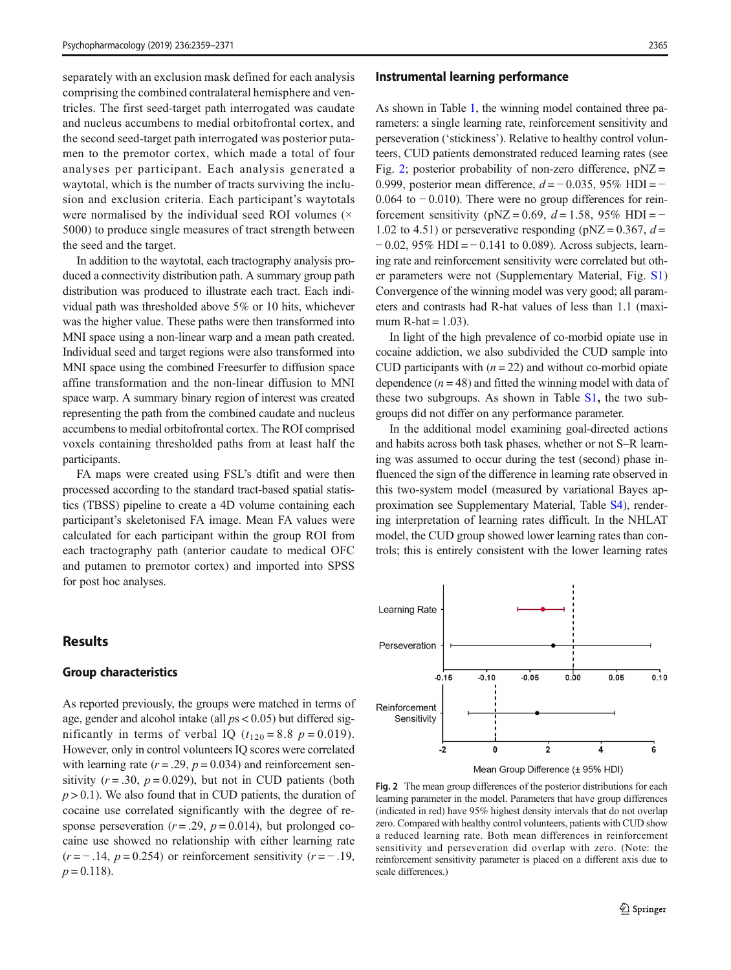separately with an exclusion mask defined for each analysis comprising the combined contralateral hemisphere and ventricles. The first seed-target path interrogated was caudate and nucleus accumbens to medial orbitofrontal cortex, and the second seed-target path interrogated was posterior putamen to the premotor cortex, which made a total of four analyses per participant. Each analysis generated a waytotal, which is the number of tracts surviving the inclusion and exclusion criteria. Each participant's waytotals were normalised by the individual seed ROI volumes (× 5000) to produce single measures of tract strength between the seed and the target.

In addition to the waytotal, each tractography analysis produced a connectivity distribution path. A summary group path distribution was produced to illustrate each tract. Each individual path was thresholded above 5% or 10 hits, whichever was the higher value. These paths were then transformed into MNI space using a non-linear warp and a mean path created. Individual seed and target regions were also transformed into MNI space using the combined Freesurfer to diffusion space affine transformation and the non-linear diffusion to MNI space warp. A summary binary region of interest was created representing the path from the combined caudate and nucleus accumbens to medial orbitofrontal cortex. The ROI comprised voxels containing thresholded paths from at least half the participants.

FA maps were created using FSL's dtifit and were then processed according to the standard tract-based spatial statistics (TBSS) pipeline to create a 4D volume containing each participant's skeletonised FA image. Mean FA values were calculated for each participant within the group ROI from each tractography path (anterior caudate to medical OFC and putamen to premotor cortex) and imported into SPSS for post hoc analyses.

## **Results**

#### Group characteristics

As reported previously, the groups were matched in terms of age, gender and alcohol intake (all  $ps < 0.05$ ) but differed significantly in terms of verbal IQ  $(t_{120} = 8.8 \text{ p} = 0.019)$ . However, only in control volunteers IQ scores were correlated with learning rate  $(r=.29, p=.0.034)$  and reinforcement sensitivity ( $r = .30$ ,  $p = 0.029$ ), but not in CUD patients (both  $p > 0.1$ ). We also found that in CUD patients, the duration of cocaine use correlated significantly with the degree of response perseveration ( $r = .29$ ,  $p = 0.014$ ), but prolonged cocaine use showed no relationship with either learning rate  $(r = -14, p = 0.254)$  or reinforcement sensitivity  $(r = -19,$  $p = 0.118$ .

#### Instrumental learning performance

As shown in Table [1,](#page-5-0) the winning model contained three parameters: a single learning rate, reinforcement sensitivity and perseveration ('stickiness'). Relative to healthy control volunteers, CUD patients demonstrated reduced learning rates (see Fig. 2; posterior probability of non-zero difference,  $pNZ =$ 0.999, posterior mean difference,  $d = -0.035$ , 95% HDI $=$ 0.064 to − 0.010). There were no group differences for reinforcement sensitivity (pNZ = 0.69,  $d = 1.58$ , 95% HDI = − 1.02 to 4.51) or perseverative responding (pNZ =  $0.367$ ,  $d =$  $-0.02$ , 95% HDI =  $-0.141$  to 0.089). Across subjects, learning rate and reinforcement sensitivity were correlated but other parameters were not (Supplementary Material, Fig. S1) Convergence of the winning model was very good; all parameters and contrasts had R-hat values of less than 1.1 (maximum  $R$ -hat = 1.03).

In light of the high prevalence of co-morbid opiate use in cocaine addiction, we also subdivided the CUD sample into CUD participants with  $(n = 22)$  and without co-morbid opiate dependence  $(n = 48)$  and fitted the winning model with data of these two subgroups. As shown in Table S1, the two subgroups did not differ on any performance parameter.

In the additional model examining goal-directed actions and habits across both task phases, whether or not S–R learning was assumed to occur during the test (second) phase influenced the sign of the difference in learning rate observed in this two-system model (measured by variational Bayes approximation see Supplementary Material, Table S4), rendering interpretation of learning rates difficult. In the NHLAT model, the CUD group showed lower learning rates than controls; this is entirely consistent with the lower learning rates



Fig. 2 The mean group differences of the posterior distributions for each learning parameter in the model. Parameters that have group differences (indicated in red) have 95% highest density intervals that do not overlap zero. Compared with healthy control volunteers, patients with CUD show a reduced learning rate. Both mean differences in reinforcement sensitivity and perseveration did overlap with zero. (Note: the reinforcement sensitivity parameter is placed on a different axis due to scale differences.)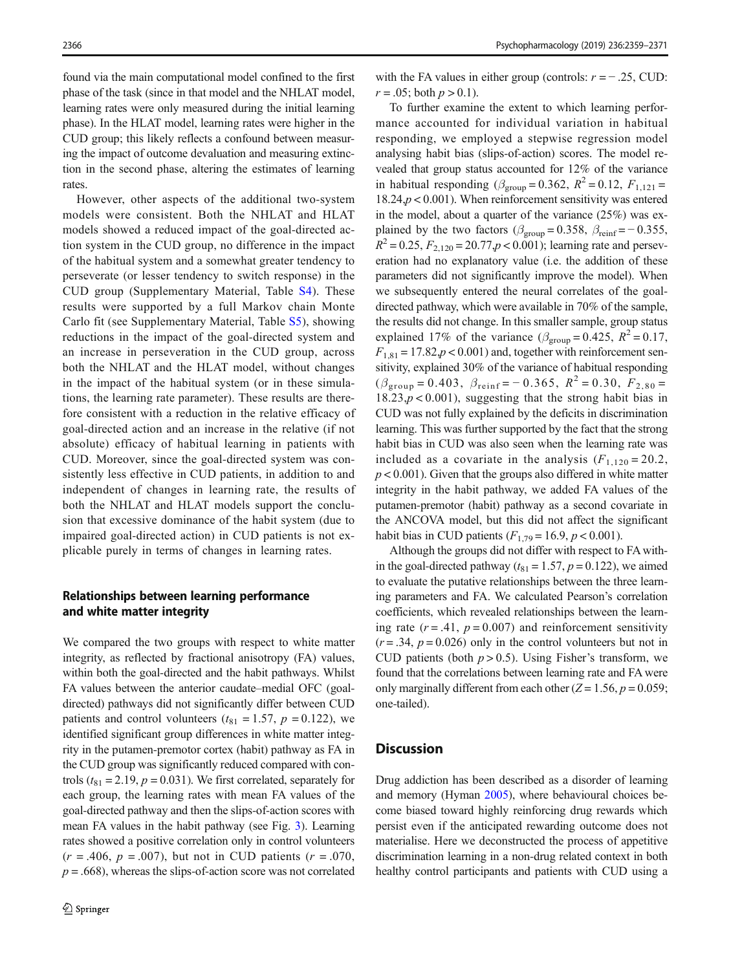found via the main computational model confined to the first phase of the task (since in that model and the NHLAT model, learning rates were only measured during the initial learning phase). In the HLAT model, learning rates were higher in the CUD group; this likely reflects a confound between measuring the impact of outcome devaluation and measuring extinction in the second phase, altering the estimates of learning rates.

However, other aspects of the additional two-system models were consistent. Both the NHLAT and HLAT models showed a reduced impact of the goal-directed action system in the CUD group, no difference in the impact of the habitual system and a somewhat greater tendency to perseverate (or lesser tendency to switch response) in the CUD group (Supplementary Material, Table S4). These results were supported by a full Markov chain Monte Carlo fit (see Supplementary Material, Table S5), showing reductions in the impact of the goal-directed system and an increase in perseveration in the CUD group, across both the NHLAT and the HLAT model, without changes in the impact of the habitual system (or in these simulations, the learning rate parameter). These results are therefore consistent with a reduction in the relative efficacy of goal-directed action and an increase in the relative (if not absolute) efficacy of habitual learning in patients with CUD. Moreover, since the goal-directed system was consistently less effective in CUD patients, in addition to and independent of changes in learning rate, the results of both the NHLAT and HLAT models support the conclusion that excessive dominance of the habit system (due to impaired goal-directed action) in CUD patients is not explicable purely in terms of changes in learning rates.

## Relationships between learning performance and white matter integrity

We compared the two groups with respect to white matter integrity, as reflected by fractional anisotropy (FA) values, within both the goal-directed and the habit pathways. Whilst FA values between the anterior caudate–medial OFC (goaldirected) pathways did not significantly differ between CUD patients and control volunteers ( $t_{81} = 1.57$ ,  $p = 0.122$ ), we identified significant group differences in white matter integrity in the putamen-premotor cortex (habit) pathway as FA in the CUD group was significantly reduced compared with controls  $(t_{81} = 2.19, p = 0.031)$ . We first correlated, separately for each group, the learning rates with mean FA values of the goal-directed pathway and then the slips-of-action scores with mean FA values in the habit pathway (see Fig. [3](#page-9-0)). Learning rates showed a positive correlation only in control volunteers  $(r = .406, p = .007)$ , but not in CUD patients  $(r = .070,$  $p = .668$ ), whereas the slips-of-action score was not correlated with the FA values in either group (controls:  $r = -0.25$ , CUD:  $r = .05$ ; both  $p > 0.1$ ).

To further examine the extent to which learning performance accounted for individual variation in habitual responding, we employed a stepwise regression model analysing habit bias (slips-of-action) scores. The model revealed that group status accounted for 12% of the variance in habitual responding ( $\beta_{\text{group}} = 0.362$ ,  $R^2 = 0.12$ ,  $F_{1,121} =$  $18.24, p < 0.001$ ). When reinforcement sensitivity was entered in the model, about a quarter of the variance (25%) was explained by the two factors ( $\beta_{\text{group}} = 0.358$ ,  $\beta_{\text{reinf}} = -0.355$ ,  $R^{2} = 0.25$ ,  $F_{2,120} = 20.77$ ,  $p < 0.001$ ); learning rate and perseveration had no explanatory value (i.e. the addition of these parameters did not significantly improve the model). When we subsequently entered the neural correlates of the goaldirected pathway, which were available in 70% of the sample, the results did not change. In this smaller sample, group status explained 17% of the variance ( $\beta_{\text{group}} = 0.425$ ,  $R^2 = 0.17$ ,  $F_{1,81} = 17.82, p < 0.001$ ) and, together with reinforcement sensitivity, explained 30% of the variance of habitual responding  $(\beta_{\text{group}} = 0.403, \ \beta_{\text{reinf}} = -0.365, \ R^2 = 0.30, \ F_{2.80} =$  $18.23, p < 0.001$ ), suggesting that the strong habit bias in CUD was not fully explained by the deficits in discrimination learning. This was further supported by the fact that the strong habit bias in CUD was also seen when the learning rate was included as a covariate in the analysis  $(F_{1,120} = 20.2$ ,  $p < 0.001$ ). Given that the groups also differed in white matter integrity in the habit pathway, we added FA values of the putamen-premotor (habit) pathway as a second covariate in the ANCOVA model, but this did not affect the significant habit bias in CUD patients  $(F_{1,79} = 16.9, p < 0.001)$ .

Although the groups did not differ with respect to FA within the goal-directed pathway ( $t_{81} = 1.57$ ,  $p = 0.122$ ), we aimed to evaluate the putative relationships between the three learning parameters and FA. We calculated Pearson's correlation coefficients, which revealed relationships between the learning rate  $(r = .41, p = 0.007)$  and reinforcement sensitivity  $(r = .34, p = 0.026)$  only in the control volunteers but not in CUD patients (both  $p > 0.5$ ). Using Fisher's transform, we found that the correlations between learning rate and FA were only marginally different from each other  $(Z = 1.56, p = 0.059;$ one-tailed).

## **Discussion**

Drug addiction has been described as a disorder of learning and memory (Hyman [2005](#page-12-0)), where behavioural choices become biased toward highly reinforcing drug rewards which persist even if the anticipated rewarding outcome does not materialise. Here we deconstructed the process of appetitive discrimination learning in a non-drug related context in both healthy control participants and patients with CUD using a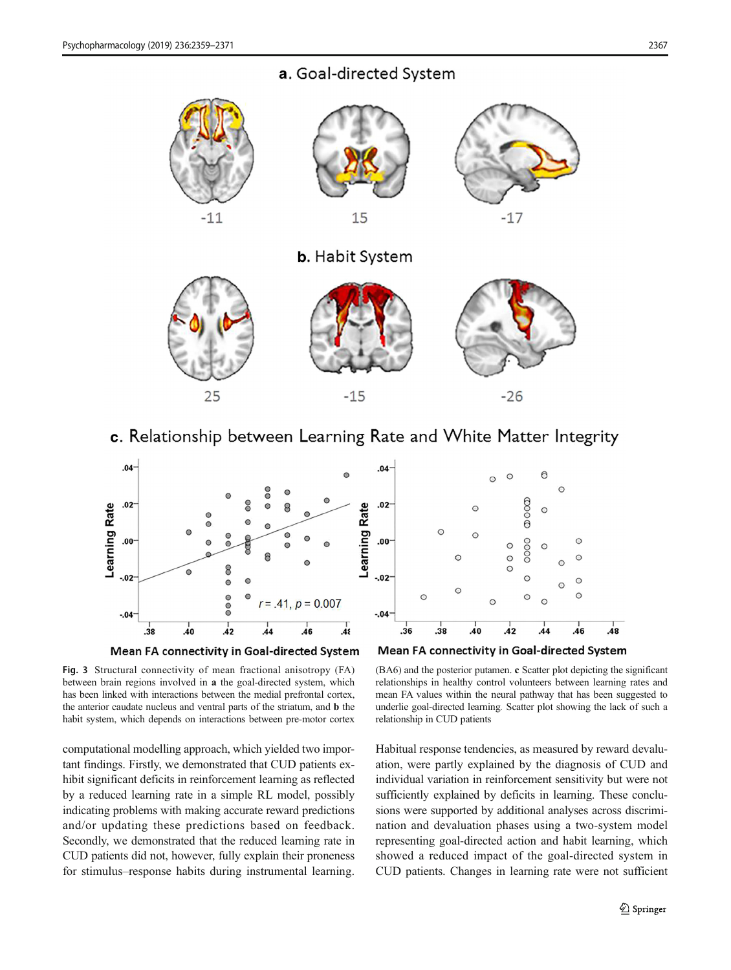a. Goal-directed System

<span id="page-9-0"></span>

c. Relationship between Learning Rate and White Matter Integrity



**Mean FA connectivity in Goal-directed System** 

Fig. 3 Structural connectivity of mean fractional anisotropy (FA) between brain regions involved in a the goal-directed system, which has been linked with interactions between the medial prefrontal cortex, the anterior caudate nucleus and ventral parts of the striatum, and b the habit system, which depends on interactions between pre-motor cortex

computational modelling approach, which yielded two important findings. Firstly, we demonstrated that CUD patients exhibit significant deficits in reinforcement learning as reflected by a reduced learning rate in a simple RL model, possibly indicating problems with making accurate reward predictions and/or updating these predictions based on feedback. Secondly, we demonstrated that the reduced learning rate in CUD patients did not, however, fully explain their proneness for stimulus–response habits during instrumental learning.



Mean FA connectivity in Goal-directed System

(BA6) and the posterior putamen. c Scatter plot depicting the significant relationships in healthy control volunteers between learning rates and mean FA values within the neural pathway that has been suggested to underlie goal-directed learning. Scatter plot showing the lack of such a relationship in CUD patients

Habitual response tendencies, as measured by reward devaluation, were partly explained by the diagnosis of CUD and individual variation in reinforcement sensitivity but were not sufficiently explained by deficits in learning. These conclusions were supported by additional analyses across discrimination and devaluation phases using a two-system model representing goal-directed action and habit learning, which showed a reduced impact of the goal-directed system in CUD patients. Changes in learning rate were not sufficient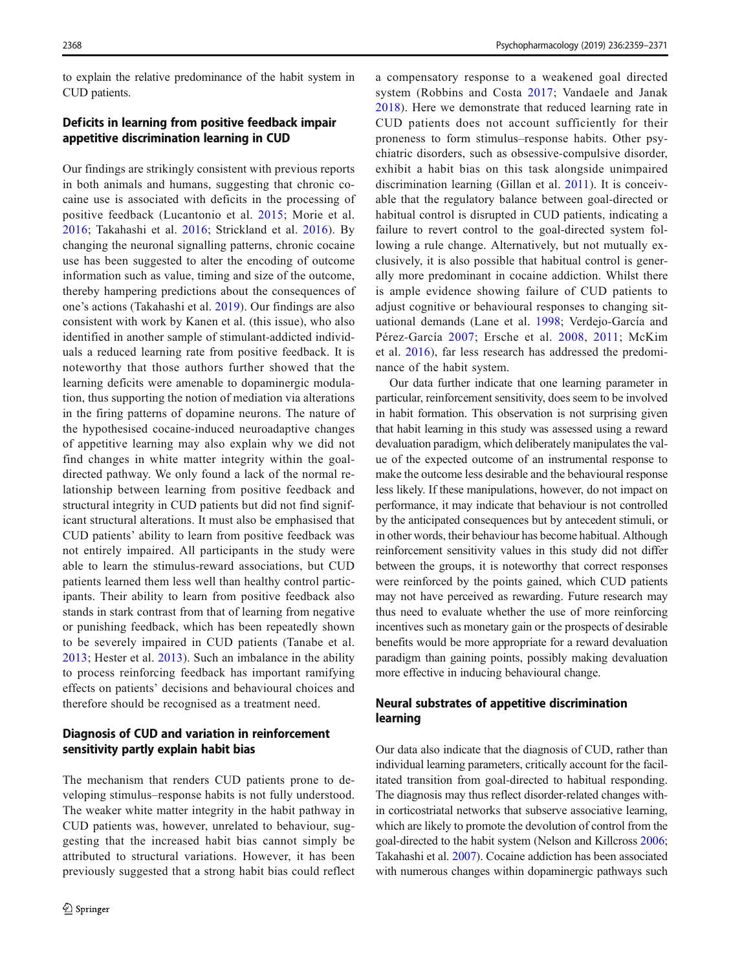to explain the relative predominance of the habit system in CUD patients.

## Deficits in learning from positive feedback impair appetitive discrimination learning in CUD

Our findings are strikingly consistent with previous reports in both animals and humans, suggesting that chronic cocaine use is associated with deficits in the processing of positive feedback (Lucantonio et al. [2015](#page-12-0); Morie et al. [2016](#page-12-0); Takahashi et al. [2016](#page-13-0); Strickland et al. [2016](#page-13-0)). By changing the neuronal signalling patterns, chronic cocaine use has been suggested to alter the encoding of outcome information such as value, timing and size of the outcome, thereby hampering predictions about the consequences of one's actions (Takahashi et al. [2019\)](#page-13-0). Our findings are also consistent with work by Kanen et al. (this issue), who also identified in another sample of stimulant-addicted individuals a reduced learning rate from positive feedback. It is noteworthy that those authors further showed that the learning deficits were amenable to dopaminergic modulation, thus supporting the notion of mediation via alterations in the firing patterns of dopamine neurons. The nature of the hypothesised cocaine-induced neuroadaptive changes of appetitive learning may also explain why we did not find changes in white matter integrity within the goaldirected pathway. We only found a lack of the normal relationship between learning from positive feedback and structural integrity in CUD patients but did not find significant structural alterations. It must also be emphasised that CUD patients' ability to learn from positive feedback was not entirely impaired. All participants in the study were able to learn the stimulus-reward associations, but CUD patients learned them less well than healthy control participants. Their ability to learn from positive feedback also stands in stark contrast from that of learning from negative or punishing feedback, which has been repeatedly shown to be severely impaired in CUD patients (Tanabe et al. [2013](#page-13-0); Hester et al. [2013](#page-12-0)). Such an imbalance in the ability to process reinforcing feedback has important ramifying effects on patients' decisions and behavioural choices and therefore should be recognised as a treatment need.

## Diagnosis of CUD and variation in reinforcement sensitivity partly explain habit bias

The mechanism that renders CUD patients prone to developing stimulus–response habits is not fully understood. The weaker white matter integrity in the habit pathway in CUD patients was, however, unrelated to behaviour, suggesting that the increased habit bias cannot simply be attributed to structural variations. However, it has been previously suggested that a strong habit bias could reflect a compensatory response to a weakened goal directed system (Robbins and Costa [2017;](#page-12-0) Vandaele and Janak [2018](#page-13-0)). Here we demonstrate that reduced learning rate in CUD patients does not account sufficiently for their proneness to form stimulus–response habits. Other psychiatric disorders, such as obsessive-compulsive disorder, exhibit a habit bias on this task alongside unimpaired discrimination learning (Gillan et al. [2011](#page-12-0)). It is conceivable that the regulatory balance between goal-directed or habitual control is disrupted in CUD patients, indicating a failure to revert control to the goal-directed system following a rule change. Alternatively, but not mutually exclusively, it is also possible that habitual control is generally more predominant in cocaine addiction. Whilst there is ample evidence showing failure of CUD patients to adjust cognitive or behavioural responses to changing situational demands (Lane et al. [1998;](#page-12-0) Verdejo-García and Pérez-García [2007;](#page-13-0) Ersche et al. [2008](#page-12-0), [2011;](#page-12-0) McKim et al. [2016\)](#page-12-0), far less research has addressed the predominance of the habit system.

Our data further indicate that one learning parameter in particular, reinforcement sensitivity, does seem to be involved in habit formation. This observation is not surprising given that habit learning in this study was assessed using a reward devaluation paradigm, which deliberately manipulates the value of the expected outcome of an instrumental response to make the outcome less desirable and the behavioural response less likely. If these manipulations, however, do not impact on performance, it may indicate that behaviour is not controlled by the anticipated consequences but by antecedent stimuli, or in other words, their behaviour has become habitual. Although reinforcement sensitivity values in this study did not differ between the groups, it is noteworthy that correct responses were reinforced by the points gained, which CUD patients may not have perceived as rewarding. Future research may thus need to evaluate whether the use of more reinforcing incentives such as monetary gain or the prospects of desirable benefits would be more appropriate for a reward devaluation paradigm than gaining points, possibly making devaluation more effective in inducing behavioural change.

## Neural substrates of appetitive discrimination learning

Our data also indicate that the diagnosis of CUD, rather than individual learning parameters, critically account for the facilitated transition from goal-directed to habitual responding. The diagnosis may thus reflect disorder-related changes within corticostriatal networks that subserve associative learning, which are likely to promote the devolution of control from the goal-directed to the habit system (Nelson and Killcross [2006;](#page-12-0) Takahashi et al. [2007](#page-13-0)). Cocaine addiction has been associated with numerous changes within dopaminergic pathways such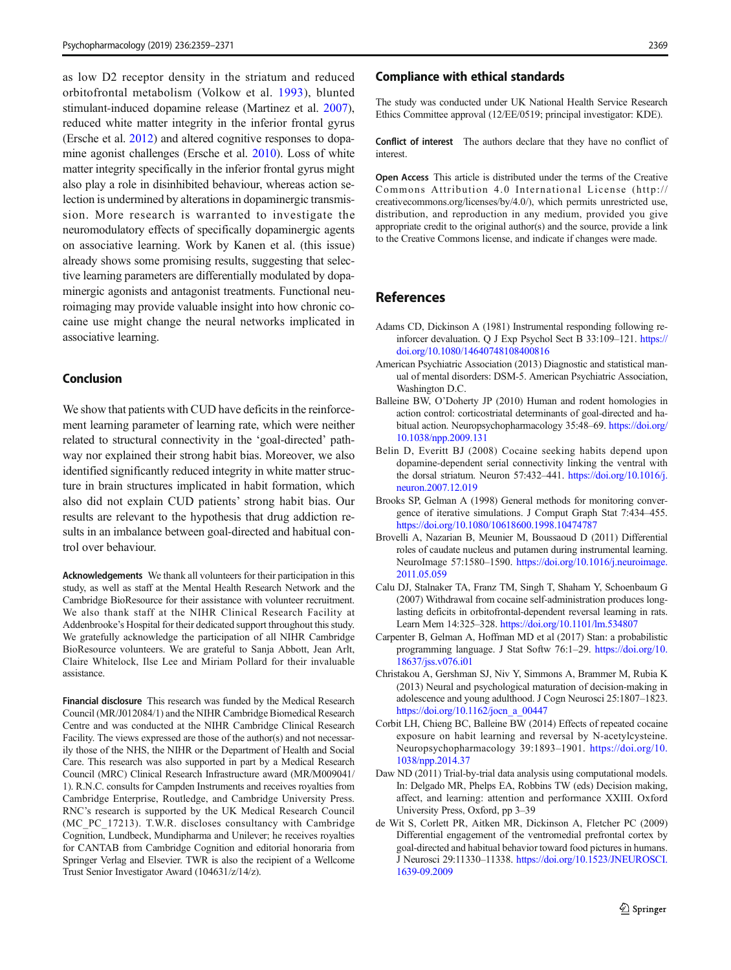<span id="page-11-0"></span>as low D2 receptor density in the striatum and reduced orbitofrontal metabolism (Volkow et al. [1993\)](#page-13-0), blunted stimulant-induced dopamine release (Martinez et al. [2007](#page-12-0)), reduced white matter integrity in the inferior frontal gyrus (Ersche et al. [2012](#page-12-0)) and altered cognitive responses to dopamine agonist challenges (Ersche et al. [2010](#page-12-0)). Loss of white matter integrity specifically in the inferior frontal gyrus might also play a role in disinhibited behaviour, whereas action selection is undermined by alterations in dopaminergic transmission. More research is warranted to investigate the neuromodulatory effects of specifically dopaminergic agents on associative learning. Work by Kanen et al. (this issue) already shows some promising results, suggesting that selective learning parameters are differentially modulated by dopaminergic agonists and antagonist treatments. Functional neuroimaging may provide valuable insight into how chronic cocaine use might change the neural networks implicated in associative learning.

#### Conclusion

We show that patients with CUD have deficits in the reinforcement learning parameter of learning rate, which were neither related to structural connectivity in the 'goal-directed' pathway nor explained their strong habit bias. Moreover, we also identified significantly reduced integrity in white matter structure in brain structures implicated in habit formation, which also did not explain CUD patients' strong habit bias. Our results are relevant to the hypothesis that drug addiction results in an imbalance between goal-directed and habitual control over behaviour.

Acknowledgements We thank all volunteers for their participation in this study, as well as staff at the Mental Health Research Network and the Cambridge BioResource for their assistance with volunteer recruitment. We also thank staff at the NIHR Clinical Research Facility at Addenbrooke's Hospital for their dedicated support throughout this study. We gratefully acknowledge the participation of all NIHR Cambridge BioResource volunteers. We are grateful to Sanja Abbott, Jean Arlt, Claire Whitelock, Ilse Lee and Miriam Pollard for their invaluable assistance.

Financial disclosure This research was funded by the Medical Research Council (MR/J012084/1) and the NIHR Cambridge Biomedical Research Centre and was conducted at the NIHR Cambridge Clinical Research Facility. The views expressed are those of the author(s) and not necessarily those of the NHS, the NIHR or the Department of Health and Social Care. This research was also supported in part by a Medical Research Council (MRC) Clinical Research Infrastructure award (MR/M009041/ 1). R.N.C. consults for Campden Instruments and receives royalties from Cambridge Enterprise, Routledge, and Cambridge University Press. RNC's research is supported by the UK Medical Research Council (MC\_PC\_17213). T.W.R. discloses consultancy with Cambridge Cognition, Lundbeck, Mundipharma and Unilever; he receives royalties for CANTAB from Cambridge Cognition and editorial honoraria from Springer Verlag and Elsevier. TWR is also the recipient of a Wellcome Trust Senior Investigator Award (104631/z/14/z).

#### Compliance with ethical standards

The study was conducted under UK National Health Service Research Ethics Committee approval (12/EE/0519; principal investigator: KDE).

Conflict of interest The authors declare that they have no conflict of interest.

Open Access This article is distributed under the terms of the Creative Commons Attribution 4.0 International License (http:// creativecommons.org/licenses/by/4.0/), which permits unrestricted use, distribution, and reproduction in any medium, provided you give appropriate credit to the original author(s) and the source, provide a link to the Creative Commons license, and indicate if changes were made.

## References

- Adams CD, Dickinson A (1981) Instrumental responding following reinforcer devaluation. Q J Exp Psychol Sect B 33:109–121. [https://](https://doi.org/10.1080/14640748108400816) [doi.org/10.1080/14640748108400816](https://doi.org/10.1080/14640748108400816)
- American Psychiatric Association (2013) Diagnostic and statistical manual of mental disorders: DSM-5. American Psychiatric Association, Washington D.C.
- Balleine BW, O'Doherty JP (2010) Human and rodent homologies in action control: corticostriatal determinants of goal-directed and habitual action. Neuropsychopharmacology 35:48–69. [https://doi.org/](https://doi.org/10.1038/npp.2009.131) [10.1038/npp.2009.131](https://doi.org/10.1038/npp.2009.131)
- Belin D, Everitt BJ (2008) Cocaine seeking habits depend upon dopamine-dependent serial connectivity linking the ventral with the dorsal striatum. Neuron 57:432-441. [https://doi.org/10.1016/j.](https://doi.org/10.1016/j.neuron.2007.12.019) [neuron.2007.12.019](https://doi.org/10.1016/j.neuron.2007.12.019)
- Brooks SP, Gelman A (1998) General methods for monitoring convergence of iterative simulations. J Comput Graph Stat 7:434–455. <https://doi.org/10.1080/10618600.1998.10474787>
- Brovelli A, Nazarian B, Meunier M, Boussaoud D (2011) Differential roles of caudate nucleus and putamen during instrumental learning. NeuroImage 57:1580–1590. [https://doi.org/10.1016/j.neuroimage.](https://doi.org/10.1016/j.neuroimage.2011.05.059) [2011.05.059](https://doi.org/10.1016/j.neuroimage.2011.05.059)
- Calu DJ, Stalnaker TA, Franz TM, Singh T, Shaham Y, Schoenbaum G (2007) Withdrawal from cocaine self-administration produces longlasting deficits in orbitofrontal-dependent reversal learning in rats. Learn Mem 14:325–328. <https://doi.org/10.1101/lm.534807>
- Carpenter B, Gelman A, Hoffman MD et al (2017) Stan: a probabilistic programming language. J Stat Softw 76:1–29. [https://doi.org/10.](https://doi.org/10.18637/jss.v076.i01) [18637/jss.v076.i01](https://doi.org/10.18637/jss.v076.i01)
- Christakou A, Gershman SJ, Niv Y, Simmons A, Brammer M, Rubia K (2013) Neural and psychological maturation of decision-making in adolescence and young adulthood. J Cogn Neurosci 25:1807–1823. [https://doi.org/10.1162/jocn\\_a\\_00447](https://doi.org/10.1162/jocn_a_00447)
- Corbit LH, Chieng BC, Balleine BW (2014) Effects of repeated cocaine exposure on habit learning and reversal by N-acetylcysteine. Neuropsychopharmacology 39:1893–1901. [https://doi.org/10.](https://doi.org/10.1038/npp.2014.37) [1038/npp.2014.37](https://doi.org/10.1038/npp.2014.37)
- Daw ND (2011) Trial-by-trial data analysis using computational models. In: Delgado MR, Phelps EA, Robbins TW (eds) Decision making, affect, and learning: attention and performance XXIII. Oxford University Press, Oxford, pp 3–39
- de Wit S, Corlett PR, Aitken MR, Dickinson A, Fletcher PC (2009) Differential engagement of the ventromedial prefrontal cortex by goal-directed and habitual behavior toward food pictures in humans. J Neurosci 29:11330–11338. [https://doi.org/10.1523/JNEUROSCI.](https://doi.org/10.1523/JNEUROSCI.1639-09.2009) [1639-09.2009](https://doi.org/10.1523/JNEUROSCI.1639-09.2009)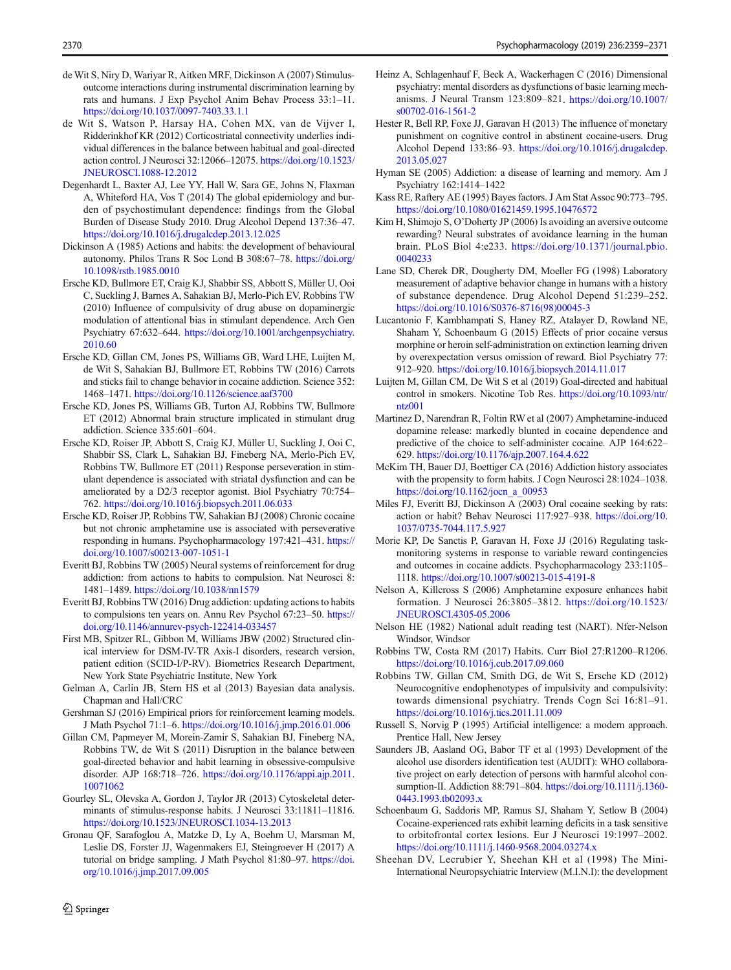- <span id="page-12-0"></span>de Wit S, Niry D, Wariyar R, Aitken MRF, Dickinson A (2007) Stimulusoutcome interactions during instrumental discrimination learning by rats and humans. J Exp Psychol Anim Behav Process 33:1–11. <https://doi.org/10.1037/0097-7403.33.1.1>
- de Wit S, Watson P, Harsay HA, Cohen MX, van de Vijver I, Ridderinkhof KR (2012) Corticostriatal connectivity underlies individual differences in the balance between habitual and goal-directed action control. J Neurosci 32:12066–12075. [https://doi.org/10.1523/](https://doi.org/10.1523/JNEUROSCI.1088-12.2012) [JNEUROSCI.1088-12.2012](https://doi.org/10.1523/JNEUROSCI.1088-12.2012)
- Degenhardt L, Baxter AJ, Lee YY, Hall W, Sara GE, Johns N, Flaxman A, Whiteford HA, Vos T (2014) The global epidemiology and burden of psychostimulant dependence: findings from the Global Burden of Disease Study 2010. Drug Alcohol Depend 137:36–47. <https://doi.org/10.1016/j.drugalcdep.2013.12.025>
- Dickinson A (1985) Actions and habits: the development of behavioural autonomy. Philos Trans R Soc Lond B 308:67–78. [https://doi.org/](https://doi.org/10.1098/rstb.1985.0010) [10.1098/rstb.1985.0010](https://doi.org/10.1098/rstb.1985.0010)
- Ersche KD, Bullmore ET, Craig KJ, Shabbir SS, Abbott S, Müller U, Ooi C, Suckling J, Barnes A, Sahakian BJ, Merlo-Pich EV, Robbins TW (2010) Influence of compulsivity of drug abuse on dopaminergic modulation of attentional bias in stimulant dependence. Arch Gen Psychiatry 67:632–644. [https://doi.org/10.1001/archgenpsychiatry.](https://doi.org/10.1001/archgenpsychiatry.2010.60) [2010.60](https://doi.org/10.1001/archgenpsychiatry.2010.60)
- Ersche KD, Gillan CM, Jones PS, Williams GB, Ward LHE, Luijten M, de Wit S, Sahakian BJ, Bullmore ET, Robbins TW (2016) Carrots and sticks fail to change behavior in cocaine addiction. Science 352: 1468–1471. <https://doi.org/10.1126/science.aaf3700>
- Ersche KD, Jones PS, Williams GB, Turton AJ, Robbins TW, Bullmore ET (2012) Abnormal brain structure implicated in stimulant drug addiction. Science 335:601–604.
- Ersche KD, Roiser JP, Abbott S, Craig KJ, Müller U, Suckling J, Ooi C, Shabbir SS, Clark L, Sahakian BJ, Fineberg NA, Merlo-Pich EV, Robbins TW, Bullmore ET (2011) Response perseveration in stimulant dependence is associated with striatal dysfunction and can be ameliorated by a D2/3 receptor agonist. Biol Psychiatry 70:754– 762. <https://doi.org/10.1016/j.biopsych.2011.06.033>
- Ersche KD, Roiser JP, Robbins TW, Sahakian BJ (2008) Chronic cocaine but not chronic amphetamine use is associated with perseverative responding in humans. Psychopharmacology 197:421–431. [https://](https://doi.org/10.1007/s00213-007-1051-1) [doi.org/10.1007/s00213-007-1051-1](https://doi.org/10.1007/s00213-007-1051-1)
- Everitt BJ, Robbins TW (2005) Neural systems of reinforcement for drug addiction: from actions to habits to compulsion. Nat Neurosci 8: 1481–1489. <https://doi.org/10.1038/nn1579>
- Everitt BJ, Robbins TW (2016) Drug addiction: updating actions to habits to compulsions ten years on. Annu Rev Psychol 67:23–50. [https://](https://doi.org/10.1146/annurev-psych-122414-033457) [doi.org/10.1146/annurev-psych-122414-033457](https://doi.org/10.1146/annurev-psych-122414-033457)
- First MB, Spitzer RL, Gibbon M, Williams JBW (2002) Structured clinical interview for DSM-IV-TR Axis-I disorders, research version, patient edition (SCID-I/P-RV). Biometrics Research Department, New York State Psychiatric Institute, New York
- Gelman A, Carlin JB, Stern HS et al (2013) Bayesian data analysis. Chapman and Hall/CRC
- Gershman SJ (2016) Empirical priors for reinforcement learning models. J Math Psychol 71:1–6. <https://doi.org/10.1016/j.jmp.2016.01.006>
- Gillan CM, Papmeyer M, Morein-Zamir S, Sahakian BJ, Fineberg NA, Robbins TW, de Wit S (2011) Disruption in the balance between goal-directed behavior and habit learning in obsessive-compulsive disorder. AJP 168:718–726. [https://doi.org/10.1176/appi.ajp.2011.](https://doi.org/10.1176/appi.ajp.2011.10071062) [10071062](https://doi.org/10.1176/appi.ajp.2011.10071062)
- Gourley SL, Olevska A, Gordon J, Taylor JR (2013) Cytoskeletal determinants of stimulus-response habits. J Neurosci 33:11811–11816. <https://doi.org/10.1523/JNEUROSCI.1034-13.2013>
- Gronau QF, Sarafoglou A, Matzke D, Ly A, Boehm U, Marsman M, Leslie DS, Forster JJ, Wagenmakers EJ, Steingroever H (2017) A tutorial on bridge sampling. J Math Psychol 81:80–97. [https://doi.](https://doi.org/10.1016/j.jmp.2017.09.005) [org/10.1016/j.jmp.2017.09.005](https://doi.org/10.1016/j.jmp.2017.09.005)
- Heinz A, Schlagenhauf F, Beck A, Wackerhagen C (2016) Dimensional psychiatry: mental disorders as dysfunctions of basic learning mechanisms. J Neural Transm 123:809–821. [https://doi.org/10.1007/](https://doi.org/10.1007/s00702-016-1561-2) [s00702-016-1561-2](https://doi.org/10.1007/s00702-016-1561-2)
- Hester R, Bell RP, Foxe JJ, Garavan H (2013) The influence of monetary punishment on cognitive control in abstinent cocaine-users. Drug Alcohol Depend 133:86–93. [https://doi.org/10.1016/j.drugalcdep.](https://doi.org/10.1016/j.drugalcdep.2013.05.027) [2013.05.027](https://doi.org/10.1016/j.drugalcdep.2013.05.027)
- Hyman SE (2005) Addiction: a disease of learning and memory. Am J Psychiatry 162:1414–1422
- Kass RE, Raftery AE (1995) Bayes factors. J Am Stat Assoc 90:773–795. <https://doi.org/10.1080/01621459.1995.10476572>
- Kim H, Shimojo S, O'Doherty JP (2006) Is avoiding an aversive outcome rewarding? Neural substrates of avoidance learning in the human brain. PLoS Biol 4:e233. [https://doi.org/10.1371/journal.pbio.](https://doi.org/10.1371/journal.pbio.0040233) [0040233](https://doi.org/10.1371/journal.pbio.0040233)
- Lane SD, Cherek DR, Dougherty DM, Moeller FG (1998) Laboratory measurement of adaptive behavior change in humans with a history of substance dependence. Drug Alcohol Depend 51:239–252. [https://doi.org/10.1016/S0376-8716\(98\)00045-3](https://doi.org/10.1016/S0376-8716(98)00045-3)
- Lucantonio F, Kambhampati S, Haney RZ, Atalayer D, Rowland NE, Shaham Y, Schoenbaum G (2015) Effects of prior cocaine versus morphine or heroin self-administration on extinction learning driven by overexpectation versus omission of reward. Biol Psychiatry 77: 912–920. <https://doi.org/10.1016/j.biopsych.2014.11.017>
- Luijten M, Gillan CM, De Wit S et al (2019) Goal-directed and habitual control in smokers. Nicotine Tob Res. [https://doi.org/10.1093/ntr/](https://doi.org/10.1093/ntr/ntz001) [ntz001](https://doi.org/10.1093/ntr/ntz001)
- Martinez D, Narendran R, Foltin RW et al (2007) Amphetamine-induced dopamine release: markedly blunted in cocaine dependence and predictive of the choice to self-administer cocaine. AJP 164:622– 629. <https://doi.org/10.1176/ajp.2007.164.4.622>
- McKim TH, Bauer DJ, Boettiger CA (2016) Addiction history associates with the propensity to form habits. J Cogn Neurosci 28:1024–1038. [https://doi.org/10.1162/jocn\\_a\\_00953](https://doi.org/10.1162/jocn_a_00953)
- Miles FJ, Everitt BJ, Dickinson A (2003) Oral cocaine seeking by rats: action or habit? Behav Neurosci 117:927–938. [https://doi.org/10.](https://doi.org/10.1037/0735-7044.117.5.927) [1037/0735-7044.117.5.927](https://doi.org/10.1037/0735-7044.117.5.927)
- Morie KP, De Sanctis P, Garavan H, Foxe JJ (2016) Regulating taskmonitoring systems in response to variable reward contingencies and outcomes in cocaine addicts. Psychopharmacology 233:1105– 1118. <https://doi.org/10.1007/s00213-015-4191-8>
- Nelson A, Killcross S (2006) Amphetamine exposure enhances habit formation. J Neurosci 26:3805–3812. [https://doi.org/10.1523/](https://doi.org/10.1523/JNEUROSCI.4305-05.2006) [JNEUROSCI.4305-05.2006](https://doi.org/10.1523/JNEUROSCI.4305-05.2006)
- Nelson HE (1982) National adult reading test (NART). Nfer-Nelson Windsor, Windsor
- Robbins TW, Costa RM (2017) Habits. Curr Biol 27:R1200–R1206. <https://doi.org/10.1016/j.cub.2017.09.060>
- Robbins TW, Gillan CM, Smith DG, de Wit S, Ersche KD (2012) Neurocognitive endophenotypes of impulsivity and compulsivity: towards dimensional psychiatry. Trends Cogn Sci 16:81–91. <https://doi.org/10.1016/j.tics.2011.11.009>
- Russell S, Norvig P (1995) Artificial intelligence: a modern approach. Prentice Hall, New Jersey
- Saunders JB, Aasland OG, Babor TF et al (1993) Development of the alcohol use disorders identification test (AUDIT): WHO collaborative project on early detection of persons with harmful alcohol consumption-II. Addiction 88:791–804. [https://doi.org/10.1111/j.1360-](https://doi.org/10.1111/j.1360-0443.1993.tb02093.x) [0443.1993.tb02093.x](https://doi.org/10.1111/j.1360-0443.1993.tb02093.x)
- Schoenbaum G, Saddoris MP, Ramus SJ, Shaham Y, Setlow B (2004) Cocaine-experienced rats exhibit learning deficits in a task sensitive to orbitofrontal cortex lesions. Eur J Neurosci 19:1997–2002. <https://doi.org/10.1111/j.1460-9568.2004.03274.x>
- Sheehan DV, Lecrubier Y, Sheehan KH et al (1998) The Mini-International Neuropsychiatric Interview (M.I.N.I): the development